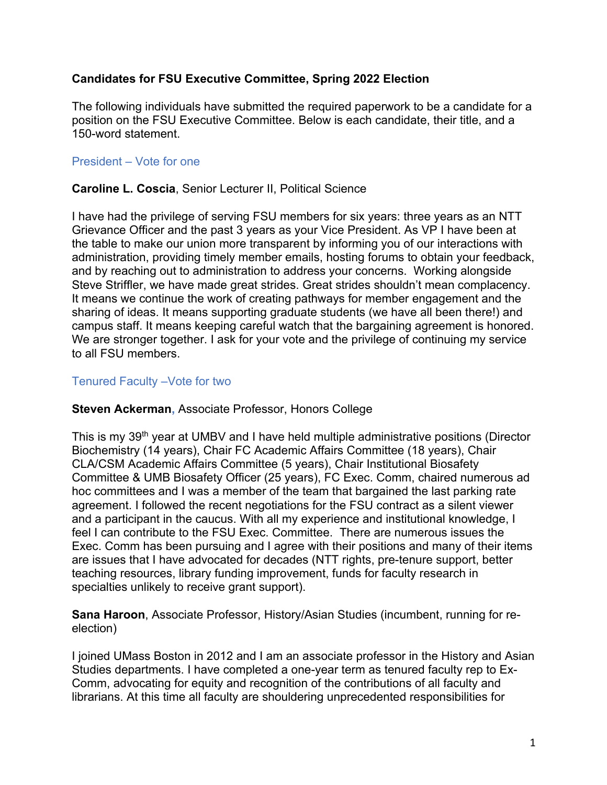# **Candidates for FSU Executive Committee, Spring 2022 Election**

The following individuals have submitted the required paperwork to be a candidate for a position on the FSU Executive Committee. Below is each candidate, their title, and a 150-word statement.

## President – Vote for one

### **Caroline L. Coscia**, Senior Lecturer II, Political Science

I have had the privilege of serving FSU members for six years: three years as an NTT Grievance Officer and the past 3 years as your Vice President. As VP I have been at the table to make our union more transparent by informing you of our interactions with administration, providing timely member emails, hosting forums to obtain your feedback, and by reaching out to administration to address your concerns. Working alongside Steve Striffler, we have made great strides. Great strides shouldn't mean complacency. It means we continue the work of creating pathways for member engagement and the sharing of ideas. It means supporting graduate students (we have all been there!) and campus staff. It means keeping careful watch that the bargaining agreement is honored. We are stronger together. I ask for your vote and the privilege of continuing my service to all FSU members.

#### Tenured Faculty –Vote for two

### **Steven Ackerman,** Associate Professor, Honors College

This is my 39<sup>th</sup> year at UMBV and I have held multiple administrative positions (Director Biochemistry (14 years), Chair FC Academic Affairs Committee (18 years), Chair CLA/CSM Academic Affairs Committee (5 years), Chair Institutional Biosafety Committee & UMB Biosafety Officer (25 years), FC Exec. Comm, chaired numerous ad hoc committees and I was a member of the team that bargained the last parking rate agreement. I followed the recent negotiations for the FSU contract as a silent viewer and a participant in the caucus. With all my experience and institutional knowledge, I feel I can contribute to the FSU Exec. Committee. There are numerous issues the Exec. Comm has been pursuing and I agree with their positions and many of their items are issues that I have advocated for decades (NTT rights, pre-tenure support, better teaching resources, library funding improvement, funds for faculty research in specialties unlikely to receive grant support).

**Sana Haroon**, Associate Professor, History/Asian Studies (incumbent, running for reelection)

I joined UMass Boston in 2012 and I am an associate professor in the History and Asian Studies departments. I have completed a one-year term as tenured faculty rep to Ex-Comm, advocating for equity and recognition of the contributions of all faculty and librarians. At this time all faculty are shouldering unprecedented responsibilities for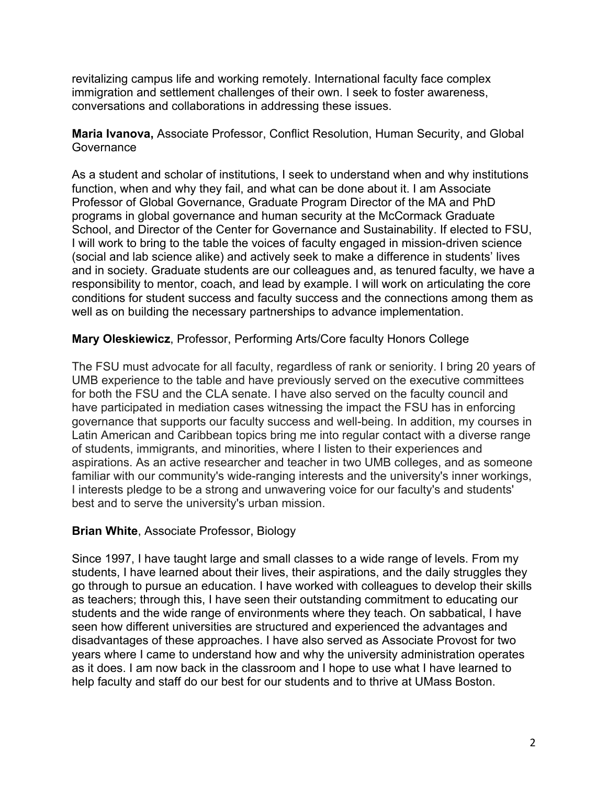revitalizing campus life and working remotely. International faculty face complex immigration and settlement challenges of their own. I seek to foster awareness, conversations and collaborations in addressing these issues.

**Maria Ivanova,** Associate Professor, Conflict Resolution, Human Security, and Global **Governance** 

As a student and scholar of institutions, I seek to understand when and why institutions function, when and why they fail, and what can be done about it. I am Associate Professor of Global Governance, Graduate Program Director of the MA and PhD programs in global governance and human security at the McCormack Graduate School, and Director of the Center for Governance and Sustainability. If elected to FSU, I will work to bring to the table the voices of faculty engaged in mission-driven science (social and lab science alike) and actively seek to make a difference in students' lives and in society. Graduate students are our colleagues and, as tenured faculty, we have a responsibility to mentor, coach, and lead by example. I will work on articulating the core conditions for student success and faculty success and the connections among them as well as on building the necessary partnerships to advance implementation.

### **Mary Oleskiewicz**, Professor, Performing Arts/Core faculty Honors College

The FSU must advocate for all faculty, regardless of rank or seniority. I bring 20 years of UMB experience to the table and have previously served on the executive committees for both the FSU and the CLA senate. I have also served on the faculty council and have participated in mediation cases witnessing the impact the FSU has in enforcing governance that supports our faculty success and well-being. In addition, my courses in Latin American and Caribbean topics bring me into regular contact with a diverse range of students, immigrants, and minorities, where I listen to their experiences and aspirations. As an active researcher and teacher in two UMB colleges, and as someone familiar with our community's wide-ranging interests and the university's inner workings, I interests pledge to be a strong and unwavering voice for our faculty's and students' best and to serve the university's urban mission.

### **Brian White**, Associate Professor, Biology

Since 1997, I have taught large and small classes to a wide range of levels. From my students, I have learned about their lives, their aspirations, and the daily struggles they go through to pursue an education. I have worked with colleagues to develop their skills as teachers; through this, I have seen their outstanding commitment to educating our students and the wide range of environments where they teach. On sabbatical, I have seen how different universities are structured and experienced the advantages and disadvantages of these approaches. I have also served as Associate Provost for two years where I came to understand how and why the university administration operates as it does. I am now back in the classroom and I hope to use what I have learned to help faculty and staff do our best for our students and to thrive at UMass Boston.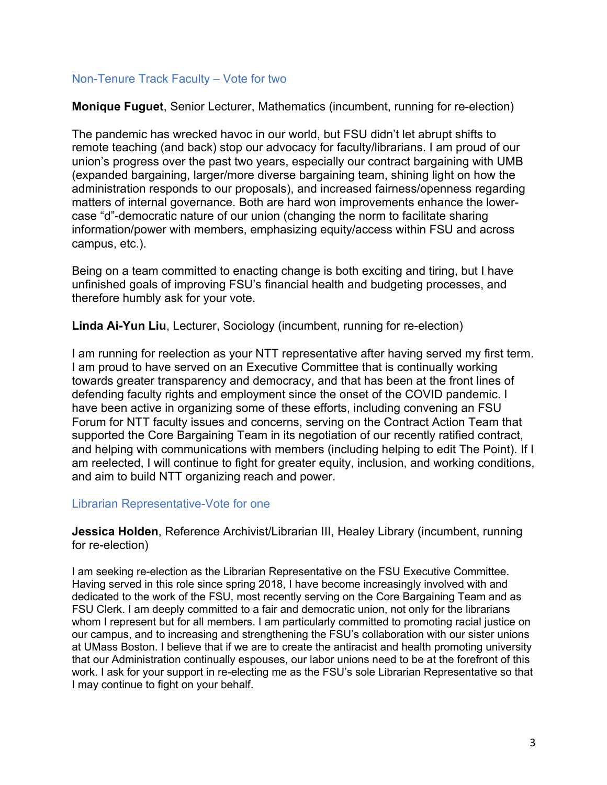## Non-Tenure Track Faculty – Vote for two

**Monique Fuguet**, Senior Lecturer, Mathematics (incumbent, running for re-election)

The pandemic has wrecked havoc in our world, but FSU didn't let abrupt shifts to remote teaching (and back) stop our advocacy for faculty/librarians. I am proud of our union's progress over the past two years, especially our contract bargaining with UMB (expanded bargaining, larger/more diverse bargaining team, shining light on how the administration responds to our proposals), and increased fairness/openness regarding matters of internal governance. Both are hard won improvements enhance the lowercase "d"-democratic nature of our union (changing the norm to facilitate sharing information/power with members, emphasizing equity/access within FSU and across campus, etc.).

Being on a team committed to enacting change is both exciting and tiring, but I have unfinished goals of improving FSU's financial health and budgeting processes, and therefore humbly ask for your vote.

**Linda Ai-Yun Liu**, Lecturer, Sociology (incumbent, running for re-election)

I am running for reelection as your NTT representative after having served my first term. I am proud to have served on an Executive Committee that is continually working towards greater transparency and democracy, and that has been at the front lines of defending faculty rights and employment since the onset of the COVID pandemic. I have been active in organizing some of these efforts, including convening an FSU Forum for NTT faculty issues and concerns, serving on the Contract Action Team that supported the Core Bargaining Team in its negotiation of our recently ratified contract, and helping with communications with members (including helping to edit The Point). If I am reelected, I will continue to fight for greater equity, inclusion, and working conditions, and aim to build NTT organizing reach and power.

### Librarian Representative-Vote for one

**Jessica Holden**, Reference Archivist/Librarian III, Healey Library (incumbent, running for re-election)

I am seeking re-election as the Librarian Representative on the FSU Executive Committee. Having served in this role since spring 2018, I have become increasingly involved with and dedicated to the work of the FSU, most recently serving on the Core Bargaining Team and as FSU Clerk. I am deeply committed to a fair and democratic union, not only for the librarians whom I represent but for all members. I am particularly committed to promoting racial justice on our campus, and to increasing and strengthening the FSU's collaboration with our sister unions at UMass Boston. I believe that if we are to create the antiracist and health promoting university that our Administration continually espouses, our labor unions need to be at the forefront of this work. I ask for your support in re-electing me as the FSU's sole Librarian Representative so that I may continue to fight on your behalf.